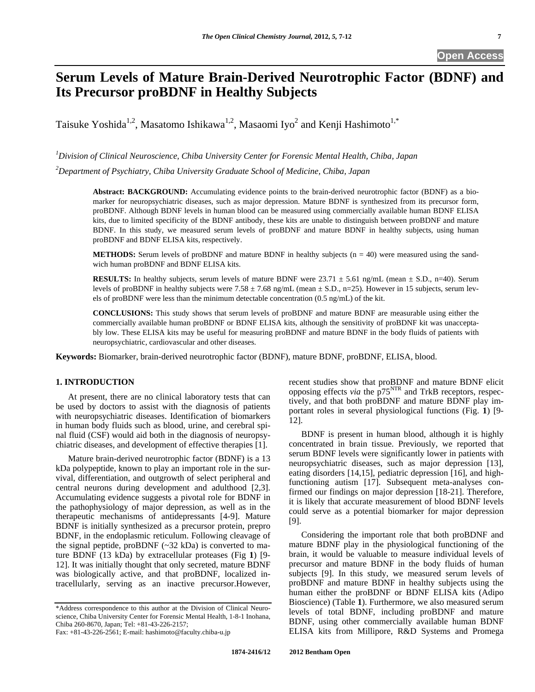# **Serum Levels of Mature Brain-Derived Neurotrophic Factor (BDNF) and Its Precursor proBDNF in Healthy Subjects**

Taisuke Yoshida<sup>1,2</sup>, Masatomo Ishikawa<sup>1,2</sup>, Masaomi Iyo<sup>2</sup> and Kenji Hashimoto<sup>1,\*</sup>

*1 Division of Clinical Neuroscience, Chiba University Center for Forensic Mental Health, Chiba, Japan* 

*2 Department of Psychiatry, Chiba University Graduate School of Medicine, Chiba, Japan* 

**Abstract: BACKGROUND:** Accumulating evidence points to the brain-derived neurotrophic factor (BDNF) as a biomarker for neuropsychiatric diseases, such as major depression. Mature BDNF is synthesized from its precursor form, proBDNF. Although BDNF levels in human blood can be measured using commercially available human BDNF ELISA kits, due to limited specificity of the BDNF antibody, these kits are unable to distinguish between proBDNF and mature BDNF. In this study, we measured serum levels of proBDNF and mature BDNF in healthy subjects, using human proBDNF and BDNF ELISA kits, respectively.

**METHODS:** Serum levels of proBDNF and mature BDNF in healthy subjects (n = 40) were measured using the sandwich human proBDNF and BDNF ELISA kits.

**RESULTS:** In healthy subjects, serum levels of mature BDNF were  $23.71 \pm 5.61$  ng/mL (mean  $\pm$  S.D., n=40). Serum levels of proBDNF in healthy subjects were  $7.58 \pm 7.68$  ng/mL (mean  $\pm$  S.D., n=25). However in 15 subjects, serum levels of proBDNF were less than the minimum detectable concentration (0.5 ng/mL) of the kit.

**CONCLUSIONS:** This study shows that serum levels of proBDNF and mature BDNF are measurable using either the commercially available human proBDNF or BDNF ELISA kits, although the sensitivity of proBDNF kit was unacceptably low. These ELISA kits may be useful for measuring proBDNF and mature BDNF in the body fluids of patients with neuropsychiatric, cardiovascular and other diseases.

**Keywords:** Biomarker, brain-derived neurotrophic factor (BDNF), mature BDNF, proBDNF, ELISA, blood.

# **1. INTRODUCTION**

 At present, there are no clinical laboratory tests that can be used by doctors to assist with the diagnosis of patients with neuropsychiatric diseases. Identification of biomarkers in human body fluids such as blood, urine, and cerebral spinal fluid (CSF) would aid both in the diagnosis of neuropsychiatric diseases, and development of effective therapies [1].

 Mature brain-derived neurotrophic factor (BDNF) is a 13 kDa polypeptide, known to play an important role in the survival, differentiation, and outgrowth of select peripheral and central neurons during development and adulthood [2,3]. Accumulating evidence suggests a pivotal role for BDNF in the pathophysiology of major depression, as well as in the therapeutic mechanisms of antidepressants [4-9]. Mature BDNF is initially synthesized as a precursor protein, prepro BDNF, in the endoplasmic reticulum. Following cleavage of the signal peptide, proBDNF  $(-32 \text{ kDa})$  is converted to mature BDNF (13 kDa) by extracellular proteases (Fig **1**) [9- 12]. It was initially thought that only secreted, mature BDNF was biologically active, and that proBDNF, localized intracellularly, serving as an inactive precursor.However,

recent studies show that proBDNF and mature BDNF elicit opposing effects *via* the p75<sup>NTR</sup> and TrkB receptors, respectively, and that both proBDNF and mature BDNF play important roles in several physiological functions (Fig. **1**) [9- 12].

 BDNF is present in human blood, although it is highly concentrated in brain tissue. Previously, we reported that serum BDNF levels were significantly lower in patients with neuropsychiatric diseases, such as major depression [13], eating disorders [14,15], pediatric depression [16], and highfunctioning autism [17]. Subsequent meta-analyses confirmed our findings on major depression [18-21]. Therefore, it is likely that accurate measurement of blood BDNF levels could serve as a potential biomarker for major depression [9].

 Considering the important role that both proBDNF and mature BDNF play in the physiological functioning of the brain, it would be valuable to measure individual levels of precursor and mature BDNF in the body fluids of human subjects [9]. In this study, we measured serum levels of proBDNF and mature BDNF in healthy subjects using the human either the proBDNF or BDNF ELISA kits (Adipo Bioscience) (Table **1**). Furthermore, we also measured serum levels of total BDNF, including proBDNF and mature BDNF, using other commercially available human BDNF ELISA kits from Millipore, R&D Systems and Promega

<sup>\*</sup>Address correspondence to this author at the Division of Clinical Neuroscience, Chiba University Center for Forensic Mental Health, 1-8-1 Inohana, Chiba 260-8670, Japan; Tel: +81-43-226-2157;

Fax: +81-43-226-2561; E-mail: hashimoto@faculty.chiba-u.jp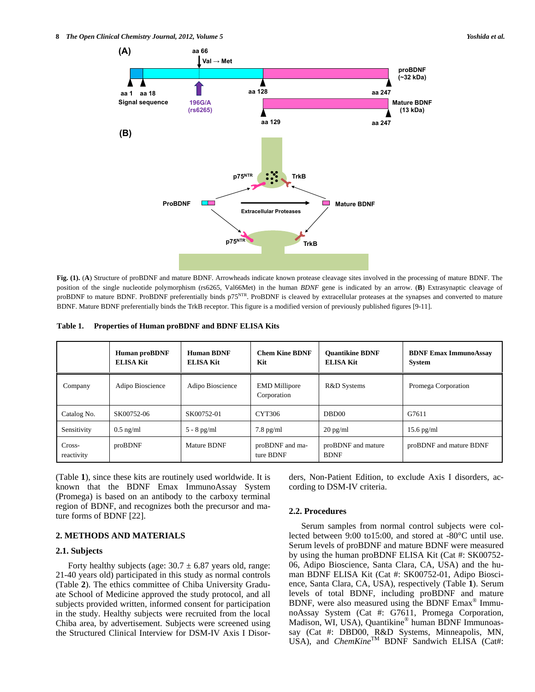**8** *The Open Clinical Chemistry Journal, 2012, Volume 5**Yoshida et al.**Yoshida et al.* 



**Fig. (1).** (**A**) Structure of proBDNF and mature BDNF. Arrowheads indicate known protease cleavage sites involved in the processing of mature BDNF. The position of the single nucleotide polymorphism (rs6265, Val66Met) in the human *BDNF* gene is indicated by an arrow. (**B**) Extrasynaptic cleavage of proBDNF to mature BDNF. ProBDNF preferentially binds p75<sup>NTR</sup>. ProBDNF is cleaved by extracellular proteases at the synapses and converted to mature BDNF. Mature BDNF preferentially binds the TrkB receptor. This figure is a modified version of previously published figures [9-11].

| Table 1. | Properties of Human proBDNF and BDNF ELISA Kits |  |  |  |
|----------|-------------------------------------------------|--|--|--|
|----------|-------------------------------------------------|--|--|--|

|                      | <b>Human proBDNF</b><br><b>ELISA Kit</b> | <b>Human BDNF</b><br><b>ELISA Kit</b> | <b>Chem Kine BDNF</b><br>Kit        | <b>Ouantikine BDNF</b><br><b>ELISA Kit</b> | <b>BDNF Emax ImmunoAssay</b><br><b>System</b> |
|----------------------|------------------------------------------|---------------------------------------|-------------------------------------|--------------------------------------------|-----------------------------------------------|
| Company              | Adipo Bioscience                         | Adipo Bioscience                      | <b>EMD</b> Millipore<br>Corporation | R&D Systems                                | Promega Corporation                           |
| Catalog No.          | SK00752-06                               | SK00752-01                            | CYT306                              | DBD <sub>00</sub>                          | G7611                                         |
| Sensitivity          | $0.5$ ng/ml                              | $5 - 8$ pg/ml                         | $7.8$ pg/ml                         | $20 \text{ pg/ml}$                         | $15.6$ pg/ml                                  |
| Cross-<br>reactivity | proBDNF                                  | <b>Mature BDNF</b>                    | proBDNF and ma-<br>ture BDNF        | proBDNF and mature<br><b>BDNF</b>          | proBDNF and mature BDNF                       |

(Table **1**), since these kits are routinely used worldwide. It is known that the BDNF Emax ImmunoAssay System (Promega) is based on an antibody to the carboxy terminal region of BDNF, and recognizes both the precursor and mature forms of BDNF [22].

# **2. METHODS AND MATERIALS**

#### **2.1. Subjects**

Forty healthy subjects (age:  $30.7 \pm 6.87$  years old, range: 21-40 years old) participated in this study as normal controls (Table **2**). The ethics committee of Chiba University Graduate School of Medicine approved the study protocol, and all subjects provided written, informed consent for participation in the study. Healthy subjects were recruited from the local Chiba area, by advertisement. Subjects were screened using the Structured Clinical Interview for DSM-IV Axis I Disorders, Non-Patient Edition, to exclude Axis I disorders, according to DSM-IV criteria.

#### **2.2. Procedures**

 Serum samples from normal control subjects were collected between 9:00 to15:00, and stored at -80°C until use. Serum levels of proBDNF and mature BDNF were measured by using the human proBDNF ELISA Kit (Cat #: SK00752- 06, Adipo Bioscience, Santa Clara, CA, USA) and the human BDNF ELISA Kit (Cat #: SK00752-01, Adipo Bioscience, Santa Clara, CA, USA), respectively (Table **1**). Serum levels of total BDNF, including proBDNF and mature BDNF, were also measured using the BDNF Emax® ImmunoAssay System (Cat #: G7611, Promega Corporation, Madison, WI, USA), Quantikine® human BDNF Immunoassay (Cat #: DBD00, R&D Systems, Minneapolis, MN, USA), and *ChemKine*<sup>TM</sup> BDNF Sandwich ELISA (Cat#: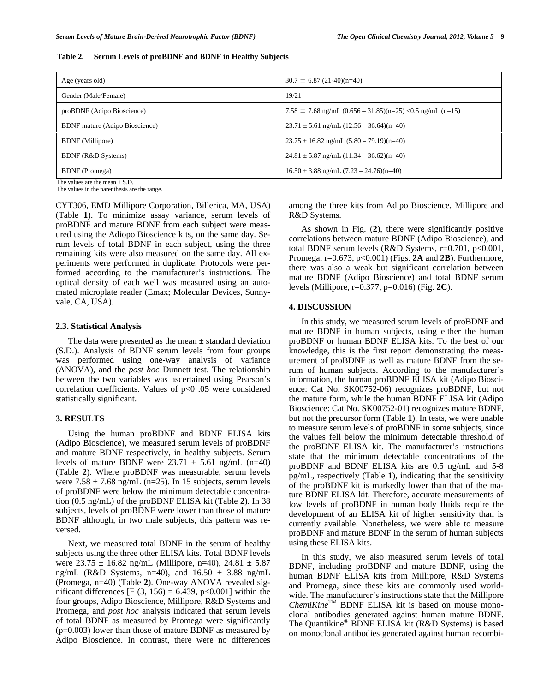|  | Table 2. Serum Levels of proBDNF and BDNF in Healthy Subjects |  |
|--|---------------------------------------------------------------|--|
|--|---------------------------------------------------------------|--|

| Age (years old)                       | $30.7 \pm 6.87(21-40)(n=40)$                                   |
|---------------------------------------|----------------------------------------------------------------|
| Gender (Male/Female)                  | 19/21                                                          |
| proBDNF (Adipo Bioscience)            | 7.58 $\pm$ 7.68 ng/mL (0.656 – 31.85)(n=25) < 0.5 ng/mL (n=15) |
| <b>BDNF</b> mature (Adipo Bioscience) | $23.71 \pm 5.61$ ng/mL $(12.56 - 36.64)(n=40)$                 |
| <b>BDNF</b> (Millipore)               | $23.75 \pm 16.82$ ng/mL $(5.80 - 79.19)(n=40)$                 |
| BDNF (R&D Systems)                    | $24.81 \pm 5.87$ ng/mL $(11.34 - 36.62)(n=40)$                 |
| <b>BDNF</b> (Promega)                 | $16.50 \pm 3.88$ ng/mL $(7.23 - 24.76)$ (n=40)                 |
| The values are the mean $\pm$ C D     |                                                                |

The values are the mean  $\pm$  S.D.

The values in the parenthesis are the range.

CYT306, EMD Millipore Corporation, Billerica, MA, USA) (Table **1**). To minimize assay variance, serum levels of proBDNF and mature BDNF from each subject were measured using the Adiopo Bioscience kits, on the same day. Serum levels of total BDNF in each subject, using the three remaining kits were also measured on the same day. All experiments were performed in duplicate. Protocols were performed according to the manufacturer's instructions. The optical density of each well was measured using an automated microplate reader (Emax; Molecular Devices, Sunnyvale, CA, USA).

## **2.3. Statistical Analysis**

The data were presented as the mean  $\pm$  standard deviation (S.D.). Analysis of BDNF serum levels from four groups was performed using one-way analysis of variance (ANOVA), and the *post hoc* Dunnett test. The relationship between the two variables was ascertained using Pearson's correlation coefficients. Values of p<0 .05 were considered statistically significant.

# **3. RESULTS**

 Using the human proBDNF and BDNF ELISA kits (Adipo Bioscience), we measured serum levels of proBDNF and mature BDNF respectively, in healthy subjects. Serum levels of mature BDNF were  $23.71 \pm 5.61$  ng/mL (n=40) (Table **2**). Where proBDNF was measurable, serum levels were  $7.58 \pm 7.68$  ng/mL (n=25). In 15 subjects, serum levels of proBDNF were below the minimum detectable concentration (0.5 ng/mL) of the proBDNF ELISA kit (Table **2**). In 38 subjects, levels of proBDNF were lower than those of mature BDNF although, in two male subjects, this pattern was reversed.

 Next, we measured total BDNF in the serum of healthy subjects using the three other ELISA kits. Total BDNF levels were  $23.75 \pm 16.82$  ng/mL (Millipore, n=40),  $24.81 \pm 5.87$ ng/mL (R&D Systems, n=40), and  $16.50 \pm 3.88$  ng/mL (Promega, n=40) (Table **2**). One-way ANOVA revealed significant differences [F  $(3, 156) = 6.439$ , p<0.001] within the four groups, Adipo Bioscience, Millipore, R&D Systems and Promega, and *post hoc* analysis indicated that serum levels of total BDNF as measured by Promega were significantly (p=0.003) lower than those of mature BDNF as measured by Adipo Bioscience. In contrast, there were no differences among the three kits from Adipo Bioscience, Millipore and R&D Systems.

 As shown in Fig. (**2**), there were significantly positive correlations between mature BDNF (Adipo Bioscience), and total BDNF serum levels (R&D Systems, r=0.701, p<0.001, Promega, r=0.673, p<0.001) (Figs. **2A** and **2B**). Furthermore, there was also a weak but significant correlation between mature BDNF (Adipo Bioscience) and total BDNF serum levels (Millipore, r=0.377, p=0.016) (Fig. **2C**).

# **4. DISCUSSION**

 In this study, we measured serum levels of proBDNF and mature BDNF in human subjects, using either the human proBDNF or human BDNF ELISA kits. To the best of our knowledge, this is the first report demonstrating the measurement of proBDNF as well as mature BDNF from the serum of human subjects. According to the manufacturer's information, the human proBDNF ELISA kit (Adipo Bioscience: Cat No. SK00752-06) recognizes proBDNF, but not the mature form, while the human BDNF ELISA kit (Adipo Bioscience: Cat No. SK00752-01) recognizes mature BDNF, but not the precursor form (Table **1**). In tests, we were unable to measure serum levels of proBDNF in some subjects, since the values fell below the minimum detectable threshold of the proBDNF ELISA kit. The manufacturer's instructions state that the minimum detectable concentrations of the proBDNF and BDNF ELISA kits are 0.5 ng/mL and 5-8 pg/mL, respectively (Table **1**), indicating that the sensitivity of the proBDNF kit is markedly lower than that of the mature BDNF ELISA kit. Therefore, accurate measurements of low levels of proBDNF in human body fluids require the development of an ELISA kit of higher sensitivity than is currently available. Nonetheless, we were able to measure proBDNF and mature BDNF in the serum of human subjects using these ELISA kits.

 In this study, we also measured serum levels of total BDNF, including proBDNF and mature BDNF, using the human BDNF ELISA kits from Millipore, R&D Systems and Promega, since these kits are commonly used worldwide. The manufacturer's instructions state that the Millipore *ChemiKine*TM BDNF ELISA kit is based on mouse monoclonal antibodies generated against human mature BDNF. The Quantikine® BDNF ELISA kit (R&D Systems) is based on monoclonal antibodies generated against human recombi-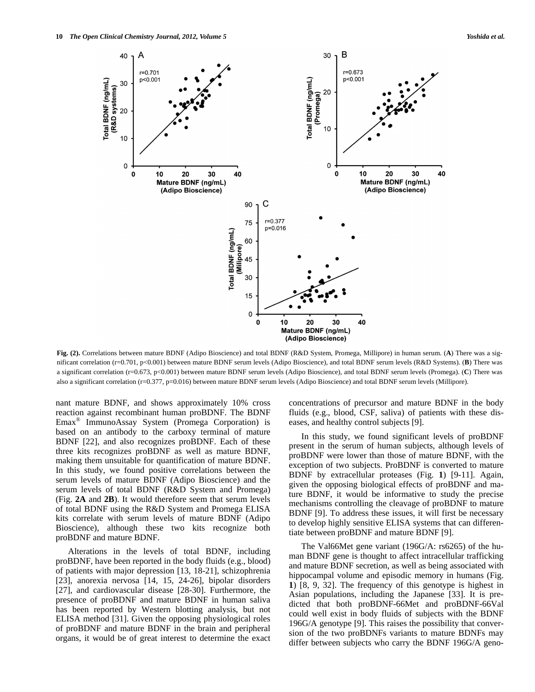

**Fig. (2).** Correlations between mature BDNF (Adipo Bioscience) and total BDNF (R&D System, Promega, Millipore) in human serum. (**A**) There was a significant correlation (r=0.701, p<0.001) between mature BDNF serum levels (Adipo Bioscience), and total BDNF serum levels (R&D Systems). (**B**) There was a significant correlation (r=0.673, p<0.001) between mature BDNF serum levels (Adipo Bioscience), and total BDNF serum levels (Promega). (**C**) There was also a significant correlation (r=0.377, p=0.016) between mature BDNF serum levels (Adipo Bioscience) and total BDNF serum levels (Millipore).

nant mature BDNF, and shows approximately 10% cross reaction against recombinant human proBDNF. The BDNF Emax® ImmunoAssay System (Promega Corporation) is based on an antibody to the carboxy terminal of mature BDNF [22], and also recognizes proBDNF. Each of these three kits recognizes proBDNF as well as mature BDNF, making them unsuitable for quantification of mature BDNF. In this study, we found positive correlations between the serum levels of mature BDNF (Adipo Bioscience) and the serum levels of total BDNF (R&D System and Promega) (Fig. **2A** and **2B**). It would therefore seem that serum levels of total BDNF using the R&D System and Promega ELISA kits correlate with serum levels of mature BDNF (Adipo Bioscience), although these two kits recognize both proBDNF and mature BDNF.

 Alterations in the levels of total BDNF, including proBDNF, have been reported in the body fluids (e.g., blood) of patients with major depression [13, 18-21], schizophrenia [23], anorexia nervosa [14, 15, 24-26], bipolar disorders [27], and cardiovascular disease [28-30]. Furthermore, the presence of proBDNF and mature BDNF in human saliva has been reported by Western blotting analysis, but not ELISA method [31]. Given the opposing physiological roles of proBDNF and mature BDNF in the brain and peripheral organs, it would be of great interest to determine the exact concentrations of precursor and mature BDNF in the body fluids (e.g., blood, CSF, saliva) of patients with these diseases, and healthy control subjects [9].

 In this study, we found significant levels of proBDNF present in the serum of human subjects, although levels of proBDNF were lower than those of mature BDNF, with the exception of two subjects. ProBDNF is converted to mature BDNF by extracellular proteases (Fig. **1**) [9-11]. Again, given the opposing biological effects of proBDNF and mature BDNF, it would be informative to study the precise mechanisms controlling the cleavage of proBDNF to mature BDNF [9]. To address these issues, it will first be necessary to develop highly sensitive ELISA systems that can differentiate between proBDNF and mature BDNF [9].

 The Val66Met gene variant (196G/A: rs6265) of the human BDNF gene is thought to affect intracellular trafficking and mature BDNF secretion, as well as being associated with hippocampal volume and episodic memory in humans (Fig. **1**) [8, 9, 32]. The frequency of this genotype is highest in Asian populations, including the Japanese [33]. It is predicted that both proBDNF-66Met and proBDNF-66Val could well exist in body fluids of subjects with the BDNF 196G/A genotype [9]. This raises the possibility that conversion of the two proBDNFs variants to mature BDNFs may differ between subjects who carry the BDNF 196G/A geno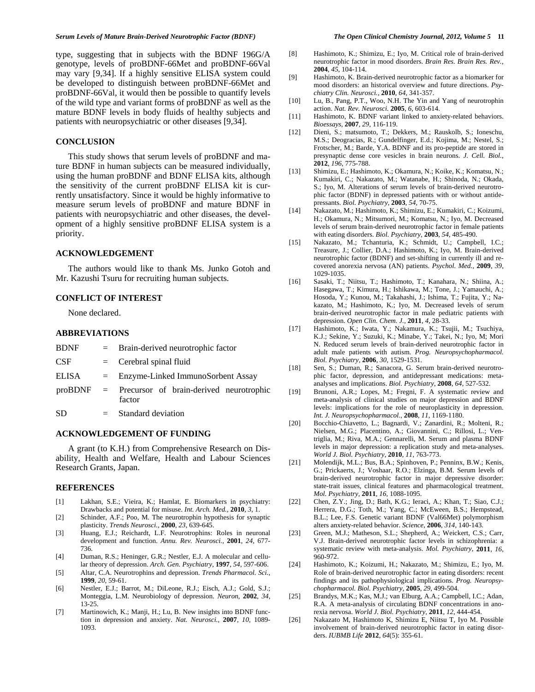type, suggesting that in subjects with the BDNF 196G/A genotype, levels of proBDNF-66Met and proBDNF-66Val may vary [9,34]. If a highly sensitive ELISA system could be developed to distinguish between proBDNF-66Met and proBDNF-66Val, it would then be possible to quantify levels of the wild type and variant forms of proBDNF as well as the mature BDNF levels in body fluids of healthy subjects and patients with neuropsychiatric or other diseases [9,34].

# **CONCLUSION**

 This study shows that serum levels of proBDNF and mature BDNF in human subjects can be measured individually, using the human proBDNF and BDNF ELISA kits, although the sensitivity of the current proBDNF ELISA kit is currently unsatisfactory. Since it would be highly informative to measure serum levels of proBDNF and mature BDNF in patients with neuropsychiatric and other diseases, the development of a highly sensitive proBDNF ELISA system is a priority.

#### **ACKNOWLEDGEMENT**

 The authors would like to thank Ms. Junko Gotoh and Mr. Kazushi Tsuru for recruiting human subjects.

# **CONFLICT OF INTEREST**

None declared.

### **ABBREVIATIONS**

| <b>BDNF</b> |     | $=$ Brain-derived neurotrophic factor                         |
|-------------|-----|---------------------------------------------------------------|
| CSF         |     | $=$ Cerebral spinal fluid                                     |
| ELISA       |     | $=$ Enzyme-Linked ImmunoSorbent Assay                         |
|             |     | $proBDNF = Precursor$ of brain-derived neurotrophic<br>factor |
| SD          | $=$ | Standard deviation                                            |

#### **ACKNOWLEDGEMENT OF FUNDING**

 A grant (to K.H.) from Comprehensive Research on Disability, Health and Welfare, Health and Labour Sciences Research Grants, Japan.

#### **REFERENCES**

- [1] Lakhan, S.E.; Vieira, K.; Hamlat, E. Biomarkers in psychiatry: Drawbacks and potential for misuse. *Int. Arch. Med.,* **2010**, *3*, 1.
- [2] Schinder, A.F.; Poo, M. The neurotrophin hypothesis for synaptic plasticity. *Trends Neurosci.*, **2000**, *23*, 639-645.
- [3] Huang, E.J.; Reichardt, L.F. Neurotrophins: Roles in neuronal development and function. *Annu. Rev. Neurosci.*, **2001**, *24*, 677- 736.
- [4] Duman, R.S.; Heninger, G.R.; Nestler, E.J. A molecular and cellular theory of depression. *Arch. Gen. Psychiatry*, **1997**, *54*, 597-606.
- [5] Altar, C.A. Neurotrophins and depression. *Trends Pharmacol. Sci.*, **1999**, *20*, 59-61.
- [6] Nestler, E.J.; Barrot, M.; DiLeone, R.J.; Eisch, A.J.; Gold, S.J.; Monteggia, L.M. Neurobiology of depression. *Neuron,* **2002**, *34*, 13-25.
- [7] Martinowich, K.; Manji, H.; Lu, B. New insights into BDNF function in depression and anxiety. *Nat. Neurosci.*, **2007**, *10*, 1089- 1093.
- [8] Hashimoto, K.; Shimizu, E.; Iyo, M. Critical role of brain-derived neurotrophic factor in mood disorders. *Brain Res. Brain Res. Rev.*, **2004**, *45*, 104-114.
- [9] Hashimoto, K. Brain-derived neurotrophic factor as a biomarker for mood disorders: an historical overview and future directions. *Psychiatry Clin. Neurosci.*, **2010**, *64*, 341-357.
- [10] Lu, B., Pang, P.T., Woo, N.H. The Yin and Yang of neurotrophin action. *Nat. Rev. Neurosci.* **2005**, *6*, 603-614.
- [11] Hashimoto, K. BDNF variant linked to anxiety-related behaviors. *Bioessays*, **2007**, *29*, 116-119.
- [12] Dieni, S.; matsumoto, T.; Dekkers, M.; Rauskolb, S.; Ioneschu, M.S.; Deogracias, R.; Gundelfinger, E.d.; Kojima, M.; Nestel, S.; Frotscher, M.; Barde, Y.A. BDNF and its pro-peptide are stored in presynaptic dense core vesicles in brain neurons. *J. Cell. Biol.*, **2012**, *196*, 775-788.
- [13] Shimizu, E.; Hashimoto, K.; Okamura, N.; Koike, K.; Komatsu, N.; Kumakiri, C.; Nakazato, M.; Watanabe, H.; Shinoda, N.; Okada, S.; Iyo, M. Alterations of serum levels of brain-derived neurotrophic factor (BDNF) in depressed patients with or without antidepressants. *Biol. Psychiatry*, **2003**, *54*, 70-75.
- [14] Nakazato, M.; Hashimoto, K.; Shimizu, E.; Kumakiri, C.; Koizumi, H.; Okamura, N.; Mitsumori, M.; Komatsu, N.; Iyo, M. Decreased levels of serum brain-derived neurotrophic factor in female patients with eating disorders. *Biol. Psychiatry*, **2003**, *54*, 485-490.
- [15] [Nakazato, M](http://www.ncbi.nlm.nih.gov/pubmed?term=%22Nakazato%20M%22%5BAuthor%5D).; [Tchanturia, K.](http://www.ncbi.nlm.nih.gov/pubmed?term=%22Tchanturia%20K%22%5BAuthor%5D); [Schmidt, U](http://www.ncbi.nlm.nih.gov/pubmed?term=%22Schmidt%20U%22%5BAuthor%5D).; [Campbell, I.C](http://www.ncbi.nlm.nih.gov/pubmed?term=%22Campbell%20IC%22%5BAuthor%5D).; [Treasure, J](http://www.ncbi.nlm.nih.gov/pubmed?term=%22Treasure%20J%22%5BAuthor%5D).; [Collier, D.A](http://www.ncbi.nlm.nih.gov/pubmed?term=%22Collier%20DA%22%5BAuthor%5D).; [Hashimoto, K.](http://www.ncbi.nlm.nih.gov/pubmed?term=%22Hashimoto%20K%22%5BAuthor%5D); [Iyo, M.](http://www.ncbi.nlm.nih.gov/pubmed?term=%22Iyo%20M%22%5BAuthor%5D) Brain-derived neurotrophic factor (BDNF) and set-shifting in currently ill and recovered anorexia nervosa (AN) patients. *Psychol. Med.*, **2009**, *39*, 1029-1035.
- [16] Sasaki, T.; Niitsu, T.; Hashimoto, T.; Kanahara, N.; Shiina, A.; Hasegawa, T.; Kimura, H.; Ishikawa, M.; Tone, J.; Yamauchi, A.; Hosoda, Y.; Kunou, M.; Takahashi, J.; Ishima, T.; Fujita, Y.; Nakazato, M.; Hashimoto, K.; Iyo, M. Decreased levels of serum brain-derived neurotrophic factor in male pediatric patients with depression. *Open Clin. Chem. J.*, **2011**, *4*, 28-33.
- [17] Hashimoto, K.; Iwata, Y.; Nakamura, K.; Tsujii, M.; Tsuchiya, K.J.; Sekine, Y.; Suzuki, K.; Minabe, Y.; Takei, N.; Iyo, M; Mori N. Reduced serum levels of brain-derived neurotrophic factor in adult male patients with autism. *Prog. Neuropsychopharmacol. Biol. Psychiatry*, **2006**, *30*, 1529-1531.
- [18] Sen, S.; Duman, R.; Sanacora, G. Serum brain-derived neurotrophic factor, depression, and antidepressant medications: metaanalyses and implications. *Biol. Psychiatry*, **2008**, *64*, 527-532.
- [19] Brunoni, A.R.; Lopes, M.; Fregni, F. A systematic review and meta-analysis of clinical studies on major depression and BDNF levels: implications for the role of neuroplasticity in depression. *Int. J. Neuropsychopharmacol.*, **2008**, *11*, 1169-1180.
- [20] Bocchio-Chiavetto, L.; Bagnardi, V.; Zanardini, R.; Molteni, R.; Nielsen, M.G.; Placentino, A.; Giovannini, C.; Rillosi, L.; Ventriglia, M.; Riva, M.A.; Gennarelli, M. Serum and plasma BDNF levels in major depression: a replication study and meta-analyses. *World J. Biol. Psychiatry*, **2010**, *11*, 763-773.
- [21] Molendijk, M.L.; Bus, B.A.; Spinhoven, P.; Penninx, B.W.; Kenis, G.; Prickaerts, J.; Voshaar, R.O.; Elzinga, B.M. Serum levels of brain-derived neurotrophic factor in major depressive disorder: state-trait issues, clinical features and pharmacological treatment. *Mol. Psychiatry*, **2011**, *16*, 1088-1095.
- [22] Chen, Z.Y.; Jing, D.; Bath, K.G.; Ieraci, A.; Khan, T.; Siao, C.J.; Herrera, D.G.; Toth, M.; Yang, C.; McEween, B.S.; Hempstead, B.L.; Lee, F.S. Genetic variant BDNF (Val66Met) polymorphism alters anxiety-related behavior. *Science*, **2006**, *314*, 140-143.
- [23] Green, M.J.; Matheson, S.L.; Shepherd, A.; Weickert, C.S.; Carr, V.J. Brain-derived neurotrophic factor levels in schizophrenia: a systematic review with meta-analysis. *Mol. Psychiatry*, **2011**, *16*, 960-972.
- [24] Hashimoto, K.; Koizumi, H.; Nakazato, M.; Shimizu, E.; Iyo, M. Role of brain-derived neurotrophic factor in eating disorders: recent findings and its pathophysiological implications. *Prog. Neuropsychopharmacol. Biol. Psychiatry*, **2005**, *29*, 499-504.
- [25] Brandys, M.K.; Kas, M.J.; van Elburg, A.A.; Campbell, I.C.; Adan, R.A. A meta-analysis of circulating BDNF concentrations in anorexia nervosa. *World J. Biol. Psychiatry*, **2011**, *12*, 444-454.
- [26] Nakazato M, Hashimoto K, Shimizu E, Niitsu T, Iyo M. Possible involvement of brain-derived neurotrophic factor in eating disorders. *IUBMB Life* **2012**, *64*(5): 355-61.